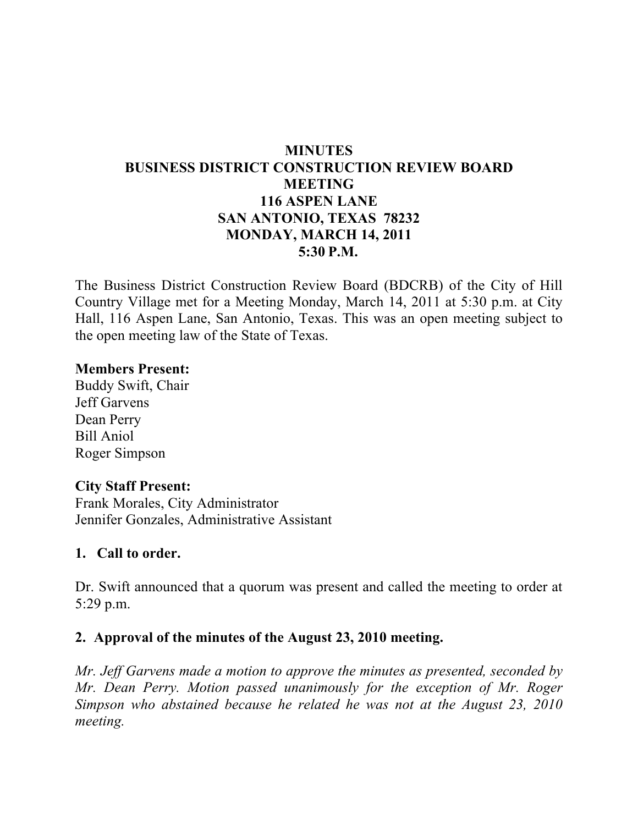# **MINUTES BUSINESS DISTRICT CONSTRUCTION REVIEW BOARD MEETING 116 ASPEN LANE SAN ANTONIO, TEXAS 78232 MONDAY, MARCH 14, 2011 5:30 P.M.**

The Business District Construction Review Board (BDCRB) of the City of Hill Country Village met for a Meeting Monday, March 14, 2011 at 5:30 p.m. at City Hall, 116 Aspen Lane, San Antonio, Texas. This was an open meeting subject to the open meeting law of the State of Texas.

#### **Members Present:**

Buddy Swift, Chair Jeff Garvens Dean Perry Bill Aniol Roger Simpson

#### **City Staff Present:**

Frank Morales, City Administrator Jennifer Gonzales, Administrative Assistant

#### **1. Call to order.**

Dr. Swift announced that a quorum was present and called the meeting to order at 5:29 p.m.

### **2. Approval of the minutes of the August 23, 2010 meeting.**

*Mr. Jeff Garvens made a motion to approve the minutes as presented, seconded by Mr. Dean Perry. Motion passed unanimously for the exception of Mr. Roger Simpson who abstained because he related he was not at the August 23, 2010 meeting.*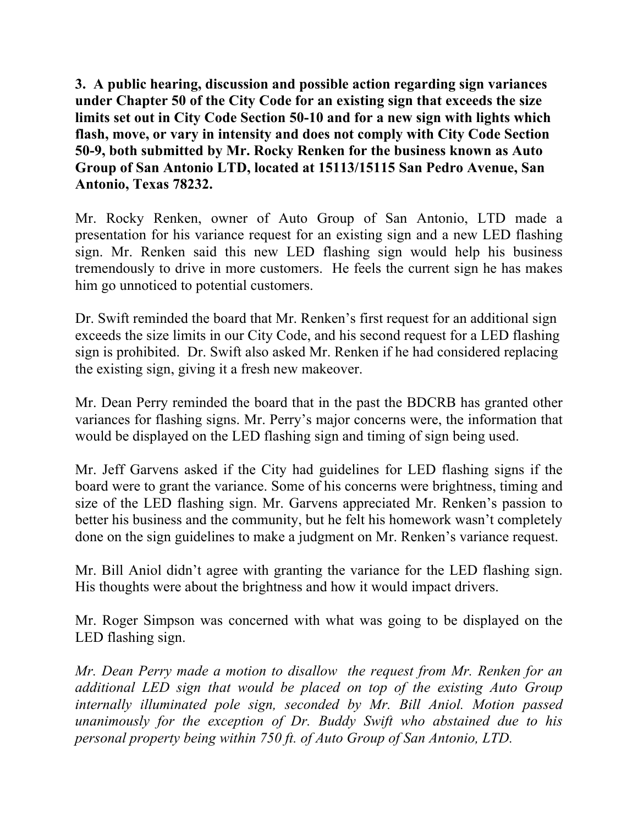**3. A public hearing, discussion and possible action regarding sign variances under Chapter 50 of the City Code for an existing sign that exceeds the size limits set out in City Code Section 50-10 and for a new sign with lights which flash, move, or vary in intensity and does not comply with City Code Section 50-9, both submitted by Mr. Rocky Renken for the business known as Auto Group of San Antonio LTD, located at 15113/15115 San Pedro Avenue, San Antonio, Texas 78232.**

Mr. Rocky Renken, owner of Auto Group of San Antonio, LTD made a presentation for his variance request for an existing sign and a new LED flashing sign. Mr. Renken said this new LED flashing sign would help his business tremendously to drive in more customers. He feels the current sign he has makes him go unnoticed to potential customers.

Dr. Swift reminded the board that Mr. Renken's first request for an additional sign exceeds the size limits in our City Code, and his second request for a LED flashing sign is prohibited. Dr. Swift also asked Mr. Renken if he had considered replacing the existing sign, giving it a fresh new makeover.

Mr. Dean Perry reminded the board that in the past the BDCRB has granted other variances for flashing signs. Mr. Perry's major concerns were, the information that would be displayed on the LED flashing sign and timing of sign being used.

Mr. Jeff Garvens asked if the City had guidelines for LED flashing signs if the board were to grant the variance. Some of his concerns were brightness, timing and size of the LED flashing sign. Mr. Garvens appreciated Mr. Renken's passion to better his business and the community, but he felt his homework wasn't completely done on the sign guidelines to make a judgment on Mr. Renken's variance request.

Mr. Bill Aniol didn't agree with granting the variance for the LED flashing sign. His thoughts were about the brightness and how it would impact drivers.

Mr. Roger Simpson was concerned with what was going to be displayed on the LED flashing sign.

*Mr. Dean Perry made a motion to disallow the request from Mr. Renken for an additional LED sign that would be placed on top of the existing Auto Group internally illuminated pole sign, seconded by Mr. Bill Aniol. Motion passed unanimously for the exception of Dr. Buddy Swift who abstained due to his personal property being within 750 ft. of Auto Group of San Antonio, LTD.*